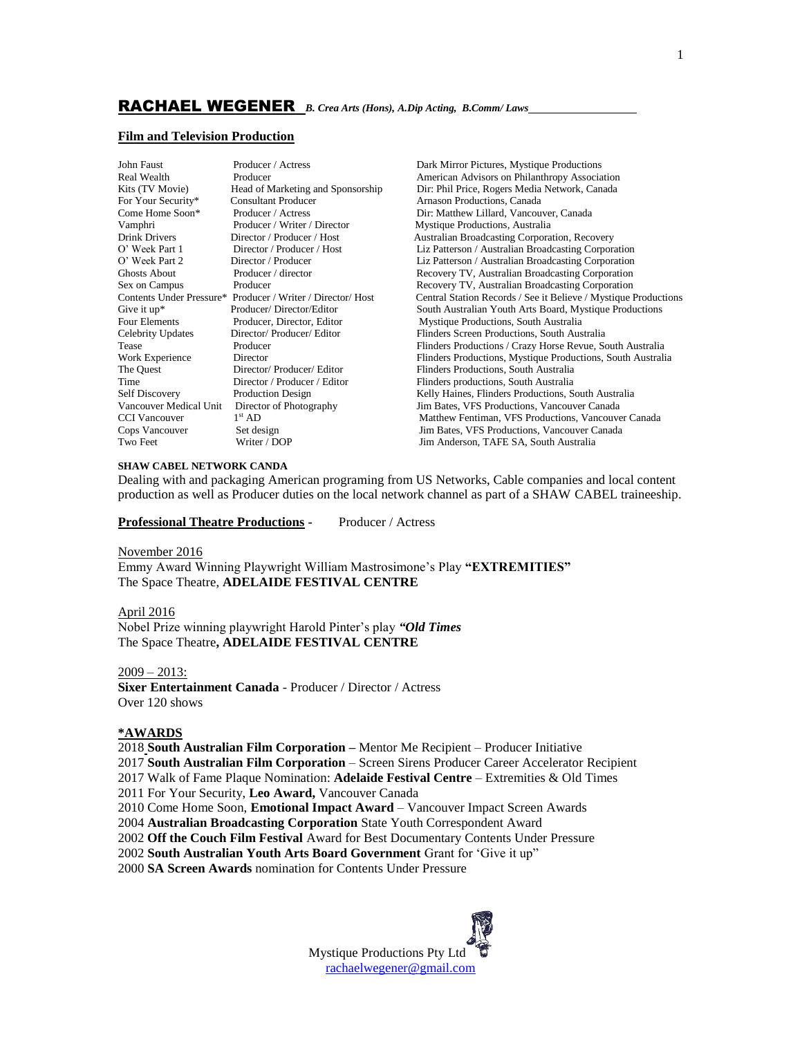#### **Film and Television Production**

| John Faust             | Producer / Actress                                          | Dark Mirror Pictures, Mystique Productions                      |
|------------------------|-------------------------------------------------------------|-----------------------------------------------------------------|
| Real Wealth            | Producer                                                    | American Advisors on Philanthropy Association                   |
| Kits (TV Movie)        | Head of Marketing and Sponsorship                           | Dir: Phil Price, Rogers Media Network, Canada                   |
| For Your Security*     | <b>Consultant Producer</b>                                  | Arnason Productions, Canada                                     |
| Come Home Soon*        | Producer / Actress                                          | Dir: Matthew Lillard, Vancouver, Canada                         |
| Vamphri                | Producer / Writer / Director                                | Mystique Productions, Australia                                 |
| Drink Drivers          | Director / Producer / Host                                  | <b>Australian Broadcasting Corporation, Recovery</b>            |
| O' Week Part 1         | Director / Producer / Host                                  | Liz Patterson / Australian Broadcasting Corporation             |
| O' Week Part 2         | Director / Producer                                         | Liz Patterson / Australian Broadcasting Corporation             |
| Ghosts About           | Producer / director                                         | Recovery TV, Australian Broadcasting Corporation                |
| Sex on Campus          | Producer                                                    | Recovery TV, Australian Broadcasting Corporation                |
|                        | Contents Under Pressure* Producer / Writer / Director/ Host | Central Station Records / See it Believe / Mystique Productions |
| Give it $up^*$         | Producer/Director/Editor                                    | South Australian Youth Arts Board, Mystique Productions         |
| Four Elements          | Producer, Director, Editor                                  | Mystique Productions, South Australia                           |
| Celebrity Updates      | Director/ Producer/ Editor                                  | Flinders Screen Productions, South Australia                    |
| Tease                  | Producer                                                    | Flinders Productions / Crazy Horse Revue, South Australia       |
| Work Experience        | Director                                                    | Flinders Productions, Mystique Productions, South Australia     |
| The Quest              | Director/Producer/Editor                                    | Flinders Productions, South Australia                           |
| Time                   | Director / Producer / Editor                                | Flinders productions, South Australia                           |
| Self Discovery         | <b>Production Design</b>                                    | Kelly Haines, Flinders Productions, South Australia             |
| Vancouver Medical Unit | Director of Photography                                     | Jim Bates, VFS Productions, Vancouver Canada                    |
| CCI Vancouver          | 1 <sup>st</sup> AD                                          | Matthew Fentiman, VFS Productions, Vancouver Canada             |
| Cops Vancouver         | Set design                                                  | Jim Bates, VFS Productions, Vancouver Canada                    |
| Two Feet               | Writer / DOP                                                | Jim Anderson, TAFE SA, South Australia                          |
|                        |                                                             |                                                                 |

#### **SHAW CABEL NETWORK CANDA**

Dealing with and packaging American programing from US Networks, Cable companies and local content production as well as Producer duties on the local network channel as part of a SHAW CABEL traineeship.

**Professional Theatre Productions -** Producer / Actress

#### November 2016

Emmy Award Winning Playwright William Mastrosimone's Play **"EXTREMITIES"** The Space Theatre, **ADELAIDE FESTIVAL CENTRE**

#### April 2016

Nobel Prize winning playwright Harold Pinter's play *"Old Times* The Space Theatre**, ADELAIDE FESTIVAL CENTRE**

#### 2009 – 2013:

**Sixer Entertainment Canada** - Producer / Director / Actress Over 120 shows

## **\*AWARDS**

 **South Australian Film Corporation –** Mentor Me Recipient – Producer Initiative **South Australian Film Corporation** – Screen Sirens Producer Career Accelerator Recipient 2017 Walk of Fame Plaque Nomination: **Adelaide Festival Centre** – Extremities & Old Times 2011 For Your Security, **Leo Award,** Vancouver Canada 2010 Come Home Soon, **Emotional Impact Award** – Vancouver Impact Screen Awards **Australian Broadcasting Corporation** State Youth Correspondent Award **Off the Couch Film Festival** Award for Best Documentary Contents Under Pressure **South Australian Youth Arts Board Government** Grant for 'Give it up" **SA Screen Awards** nomination for Contents Under Pressure